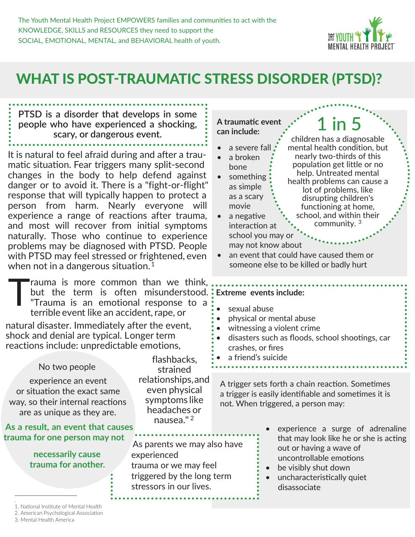

### WHAT IS POST-TRAUMATIC STRESS DISORDER (PTSD)?

**PTSD is a disorder that develops in some people who have experienced a shocking, scary, or dangerous event.**

It is natural to feel afraid during and after a traumatic situation. Fear triggers many split-second changes in the body to help defend against danger or to avoid it. There is a "fight-or-flight" response that will typically happen to protect a person from harm. Nearly everyone will experience a range of reactions after trauma, and most will recover from initial symptoms naturally. Those who continue to experience problems may be diagnosed with PTSD. People with PTSD may feel stressed or frightened, even when not in a dangerous situation.<sup>1</sup>

Trauma is more common than we think,<br>but the term is often misunderstood.<br>"Trauma is an emotional response to a<br>terrible event like an accident rape or but the term is often misunderstood. "Trauma is an emotional response to a terrible event like an accident, rape, or

natural disaster. Immediately after the event, shock and denial are typical. Longer term reactions include: unpredictable emotions,

No two people experience an event or situation the exact same way, so their internal reactions are as unique as they are.

#### **As a result, an event that causes trauma for one person may not**

#### **necessarily cause trauma for another.**

As parents we may also have experienced trauma or we may feel triggered by the long term stressors in our lives.

#### **A traumatic event can include:**

- a severe fall
- a broken bone something
- as simple as a scary movie a negative interaction at

children has a diagnosable mental health condition, but nearly two-thirds of this population get little or no help. Untreated mental health problems can cause a lot of problems, like disrupting children's functioning at home, school, and within their community. <sup>3</sup> school you may or

1 in 5

• an event that could have caused them or someone else to be killed or badly hurt

#### **Extreme events include:**

may not know about

- sexual abuse
- physical or mental abuse
- witnessing a violent crime
- disasters such as floods, school shootings, car crashes, or fires
- a friend's suicide

A trigger sets forth a chain reaction. Sometimes a trigger is easily identifiable and sometimes it is not. When triggered, a person may:

- experience a surge of adrenaline that may look like he or she is acting out or having a wave of uncontrollable emotions
- be visibly shut down
- uncharacteristically quiet disassociate

2. American Psychological Association

.

flashbacks, strained relationships, and even physical symptoms like headaches or nausea." <sup>2</sup>

<sup>1.</sup> National Institute of Mental Health

<sup>3.</sup> Mental Health America